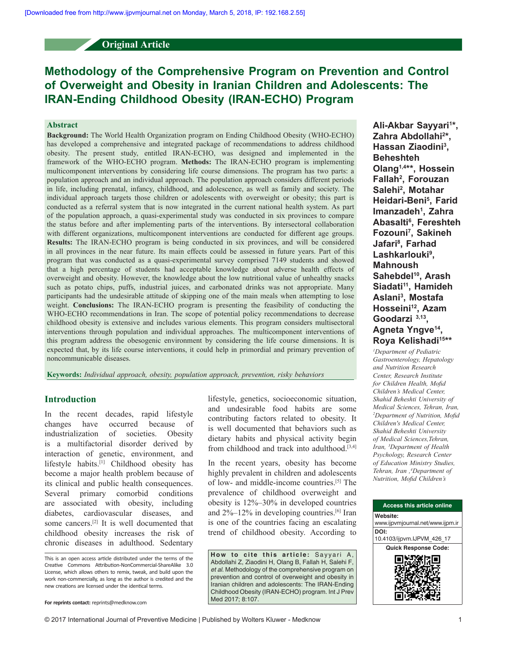# **Original Article**

# **Methodology of the Comprehensive Program on Prevention and Control of Overweight and Obesity in Iranian Children and Adolescents: The IRAN‑Ending Childhood Obesity (IRAN-ECHO) Program**

## **Abstract**

**Background:** The World Health Organization program on Ending Childhood Obesity (WHO‑ECHO) has developed a comprehensive and integrated package of recommendations to address childhood obesity. The present study, entitled IRAN‑ECHO, was designed and implemented in the framework of the WHO‑ECHO program. **Methods:** The IRAN‑ECHO program is implementing multicomponent interventions by considering life course dimensions. The program has two parts: a population approach and an individual approach. The population approach considers different periods in life, including prenatal, infancy, childhood, and adolescence, as well as family and society. The individual approach targets those children or adolescents with overweight or obesity; this part is conducted as a referral system that is now integrated in the current national health system. As part of the population approach, a quasi‑experimental study was conducted in six provinces to compare the status before and after implementing parts of the interventions. By intersectoral collaboration with different organizations, multicomponent interventions are conducted for different age groups. **Results:** The IRAN‑ECHO program is being conducted in six provinces, and will be considered in all provinces in the near future. Its main effects could be assessed in future years. Part of this program that was conducted as a quasi‑experimental survey comprised 7149 students and showed that a high percentage of students had acceptable knowledge about adverse health effects of overweight and obesity. However, the knowledge about the low nutritional value of unhealthy snacks such as potato chips, puffs, industrial juices, and carbonated drinks was not appropriate. Many participants had the undesirable attitude of skipping one of the main meals when attempting to lose weight. **Conclusions:** The IRAN‑ECHO program is presenting the feasibility of conducting the WHO-ECHO recommendations in Iran. The scope of potential policy recommendations to decrease childhood obesity is extensive and includes various elements. This program considers multisectoral interventions through population and individual approaches. The multicomponent interventions of this program address the obesogenic environment by considering the life course dimensions. It is expected that, by its life course interventions, it could help in primordial and primary prevention of noncommunicable diseases.

**Keywords:** *Individual approach, obesity, population approach, prevention, risky behaviors*

## **Introduction**

In the recent decades, rapid lifestyle changes have occurred because of industrialization of societies. Obesity is a multifactorial disorder derived by interaction of genetic, environment, and lifestyle habits.[1] Childhood obesity has become a major health problem because of its clinical and public health consequences. Several primary comorbid conditions are associated with obesity, including diabetes, cardiovascular diseases, and some cancers.[2] It is well documented that childhood obesity increases the risk of chronic diseases in adulthood. Sedentary

lifestyle, genetics, socioeconomic situation, and undesirable food habits are some contributing factors related to obesity. It is well documented that behaviors such as dietary habits and physical activity begin from childhood and track into adulthood.[3,4]

In the recent years, obesity has become highly prevalent in children and adolescents of low‑ and middle‑income countries.[5] The prevalence of childhood overweight and obesity is 12%–30% in developed countries and  $2\%$ –12% in developing countries.<sup>[6]</sup> Iran is one of the countries facing an escalating trend of childhood obesity. According to

How to cite this article: Sayyari A, Abdollahi Z, Ziaodini H, Olang B, Fallah H, Salehi F, *et al*. Methodology of the comprehensive program on prevention and control of overweight and obesity in Iranian children and adolescents: The IRAN-Ending Childhood Obesity (IRAN-ECHO) program. Int J Prev Med 2017; 8:107.

**Ali‑Akbar Sayyari1 \*, Zahra Abdollahi2 \*, Hassan Ziaodini3 , Beheshteh Olang1,4\*\*, Hossein Fallah2 , Forouzan Salehi2 , Motahar Heidari‑Beni5 , Farid Imanzadeh1 , Zahra Abasalti6 , Fereshteh Fozouni7 , Sakineh Jafari8 , Farhad Lashkarlouki9 , Mahnoush**  Sahebdel<sup>10</sup>, Arash Siadati<sup>11</sup>, Hamideh **Aslani3 , Mostafa**  Hosseini<sup>12</sup>, Azam **Goodarzi 3,13, Agneta Yngve14, Roya Kelishadi15\*\*** 

*1 Department of Pediatric Gastroenterology, Hepatology and Nutrition Research Center, Research Institute for Children Health, Mofid Children's Medical Center, Shahid Beheshti University of Medical Sciences, Tehran, Iran, 2 Department of Nutrition, Mofid Children's Medical Center, Shahid Beheshti University of Medical Sciences,Tehran, Iran, 3 Department of Health Psychology, Research Center of Education Ministry Studies, Tehran, Iran ,4 Department of Nutrition, Mofid Children's* 



This is an open access article distributed under the terms of the Creative Commons Attribution-NonCommercial-ShareAlike 3.0 License, which allows others to remix, tweak, and build upon the work non-commercially, as long as the author is credited and the new creations are licensed under the identical terms.

**For reprints contact:** reprints@medknow.com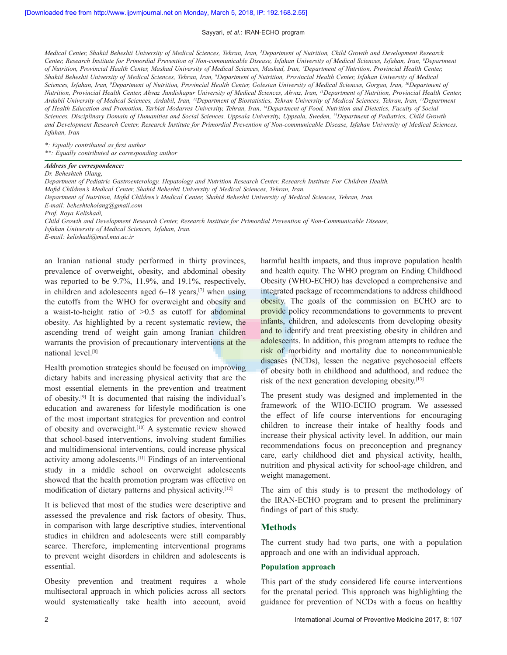*Medical Center, Shahid Beheshti University of Medical Sciences, Tehran, Iran, 5 Department of Nutrition, Child Growth and Development Research Center, Research Institute for Primordial Prevention of Non‑communicable Disease, Isfahan University of Medical Sciences, Isfahan, Iran, 6 Department of Nutrition, Provincial Health Center, Mashad University of Medical Sciences, Mashad, Iran, 7 Department of Nutrition, Provincial Health Center, Shahid Beheshti University of Medical Sciences, Tehran, Iran, 8 Department of Nutrition, Provincial Health Center, Isfahan University of Medical Sciences, Isfahan, Iran, 9 Department of Nutrition, Provincial Health Center, Golestan University of Medical Sciences, Gorgan, Iran, 10Department of Nutrition, Provincial Health Center, Ahvaz Jundishapur University of Medical Sciences, Ahvaz, Iran, 11Department of Nutrition, Provincial Health Center, Ardabil University of Medical Sciences, Ardabil, Iran, 12Department of Biostatistics, Tehran University of Medical Sciences, Tehran, Iran, 13Department of Health Education and Promotion, Tarbiat Modarres University, Tehran, Iran, 14Department of Food, Nutrition and Dietetics, Faculty of Social Sciences, Disciplinary Domain of Humanities and Social Sciences, Uppsala University, Uppsala, Sweden, 15Department of Pediatrics, Child Growth and Development Research Center, Research Institute for Primordial Prevention of Non‑communicable Disease, Isfahan University of Medical Sciences, Isfahan, Iran* 

*\*: Equally contributed as first author \*\*: Equally contributed as corresponding author*

#### *Address for correspondence:*

#### *Dr. Beheshteh Olang,*

*Department of Pediatric Gastroenterology, Hepatology and Nutrition Research Center, Research Institute For Children Health, Mofid Children's Medical Center, Shahid Beheshti University of Medical Sciences, Tehran, Iran. Department of Nutrition, Mofid Children's Medical Center, Shahid Beheshti University of Medical Sciences, Tehran, Iran. E‑mail: beheshteholang@gmail.com Prof. Roya Kelishadi, Child Growth and Development Research Center, Research Institute for Primordial Prevention of Non-Communicable Disease, Isfahan University of Medical Sciences, Isfahan, Iran.* 

*E-mail: kelishadi@med.mui.ac.ir*

an Iranian national study performed in thirty provinces, prevalence of overweight, obesity, and abdominal obesity was reported to be 9.7%, 11.9%, and 19.1%, respectively, in children and adolescents aged  $6-18$  years,<sup>[7]</sup> when using the cutoffs from the WHO for overweight and obesity and a waist-to-height ratio of  $>0.5$  as cutoff for abdominal obesity. As highlighted by a recent systematic review, the ascending trend of weight gain among Iranian children warrants the provision of precautionary interventions at the national level.[8]

Health promotion strategies should be focused on improving dietary habits and increasing physical activity that are the most essential elements in the prevention and treatment of obesity.[9] It is documented that raising the individual's education and awareness for lifestyle modification is one of the most important strategies for prevention and control of obesity and overweight.<sup>[10]</sup> A systematic review showed that school-based interventions, involving student families and multidimensional interventions, could increase physical activity among adolescents.[11] Findings of an interventional study in a middle school on overweight adolescents showed that the health promotion program was effective on modification of dietary patterns and physical activity.[12]

It is believed that most of the studies were descriptive and assessed the prevalence and risk factors of obesity. Thus, in comparison with large descriptive studies, interventional studies in children and adolescents were still comparably scarce. Therefore, implementing interventional programs to prevent weight disorders in children and adolescents is essential.

Obesity prevention and treatment requires a whole multisectoral approach in which policies across all sectors would systematically take health into account, avoid harmful health impacts, and thus improve population health and health equity. The WHO program on Ending Childhood Obesity (WHO‑ECHO) has developed a comprehensive and integrated package of recommendations to address childhood obesity. The goals of the commission on ECHO are to provide policy recommendations to governments to prevent infants, children, and adolescents from developing obesity and to identify and treat preexisting obesity in children and adolescents. In addition, this program attempts to reduce the risk of morbidity and mortality due to noncommunicable diseases (NCDs), lessen the negative psychosocial effects of obesity both in childhood and adulthood, and reduce the risk of the next generation developing obesity.[13]

The present study was designed and implemented in the framework of the WHO‑ECHO program. We assessed the effect of life course interventions for encouraging children to increase their intake of healthy foods and increase their physical activity level. In addition, our main recommendations focus on preconception and pregnancy care, early childhood diet and physical activity, health, nutrition and physical activity for school-age children, and weight management.

The aim of this study is to present the methodology of the IRAN‑ECHO program and to present the preliminary findings of part of this study.

## **Methods**

The current study had two parts, one with a population approach and one with an individual approach.

#### **Population approach**

This part of the study considered life course interventions for the prenatal period. This approach was highlighting the guidance for prevention of NCDs with a focus on healthy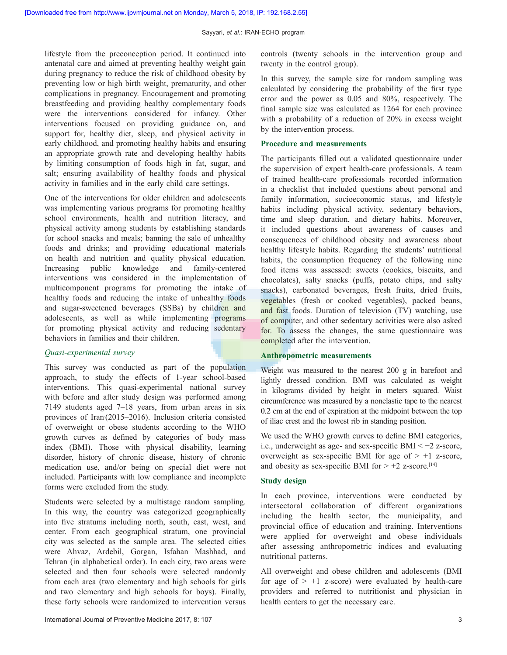lifestyle from the preconception period. It continued into antenatal care and aimed at preventing healthy weight gain during pregnancy to reduce the risk of childhood obesity by preventing low or high birth weight, prematurity, and other complications in pregnancy. Encouragement and promoting breastfeeding and providing healthy complementary foods were the interventions considered for infancy. Other interventions focused on providing guidance on, and support for, healthy diet, sleep, and physical activity in early childhood, and promoting healthy habits and ensuring an appropriate growth rate and developing healthy habits by limiting consumption of foods high in fat, sugar, and salt; ensuring availability of healthy foods and physical activity in families and in the early child care settings.

One of the interventions for older children and adolescents was implementing various programs for promoting healthy school environments, health and nutrition literacy, and physical activity among students by establishing standards for school snacks and meals; banning the sale of unhealthy foods and drinks; and providing educational materials on health and nutrition and quality physical education. Increasing public knowledge and family‑centered interventions was considered in the implementation of multicomponent programs for promoting the intake of healthy foods and reducing the intake of unhealthy foods and sugar‑sweetened beverages (SSBs) by children and adolescents, as well as while implementing programs for promoting physical activity and reducing sedentary behaviors in families and their children.

## *Quasi‑experimental survey*

This survey was conducted as part of the population approach, to study the effects of 1-year school-based interventions. This quasi-experimental national survey with before and after study design was performed among 7149 students aged 7–18 years, from urban areas in six provinces of Iran (2015–2016). Inclusion criteria consisted of overweight or obese students according to the WHO growth curves as defined by categories of body mass index (BMI). Those with physical disability, learning disorder, history of chronic disease, history of chronic medication use, and/or being on special diet were not included. Participants with low compliance and incomplete forms were excluded from the study.

Students were selected by a multistage random sampling. In this way, the country was categorized geographically into five stratums including north, south, east, west, and center. From each geographical stratum, one provincial city was selected as the sample area. The selected cities were Ahvaz, Ardebil, Gorgan, Isfahan Mashhad, and Tehran (in alphabetical order). In each city, two areas were selected and then four schools were selected randomly from each area (two elementary and high schools for girls and two elementary and high schools for boys). Finally, these forty schools were randomized to intervention versus

controls (twenty schools in the intervention group and twenty in the control group).

In this survey, the sample size for random sampling was calculated by considering the probability of the first type error and the power as 0.05 and 80%, respectively. The final sample size was calculated as 1264 for each province with a probability of a reduction of 20% in excess weight by the intervention process.

#### **Procedure and measurements**

The participants filled out a validated questionnaire under the supervision of expert health-care professionals. A team of trained health‑care professionals recorded information in a checklist that included questions about personal and family information, socioeconomic status, and lifestyle habits including physical activity, sedentary behaviors, time and sleep duration, and dietary habits. Moreover, it included questions about awareness of causes and consequences of childhood obesity and awareness about healthy lifestyle habits. Regarding the students' nutritional habits, the consumption frequency of the following nine food items was assessed: sweets (cookies, biscuits, and chocolates), salty snacks (puffs, potato chips, and salty snacks), carbonated beverages, fresh fruits, dried fruits, vegetables (fresh or cooked vegetables), packed beans, and fast foods. Duration of television (TV) watching, use of computer, and other sedentary activities were also asked for. To assess the changes, the same questionnaire was completed after the intervention.

## **Anthropometric measurements**

Weight was measured to the nearest 200 g in barefoot and lightly dressed condition. BMI was calculated as weight in kilograms divided by height in meters squared. Waist circumference was measured by a nonelastic tape to the nearest 0.2 cm at the end of expiration at the midpoint between the top of iliac crest and the lowest rib in standing position.

We used the WHO growth curves to define BMI categories, i.e., underweight as age‑ and sex‑specific BMI < −2 z‑score, overweight as sex-specific BMI for age of  $> +1$  z-score, and obesity as sex-specific BMI for  $> +2$  z-score.<sup>[14]</sup>

## **Study design**

In each province, interventions were conducted by intersectoral collaboration of different organizations including the health sector, the municipality, and provincial office of education and training. Interventions were applied for overweight and obese individuals after assessing anthropometric indices and evaluating nutritional patterns.

All overweight and obese children and adolescents (BMI for age of  $> +1$  z-score) were evaluated by health-care providers and referred to nutritionist and physician in health centers to get the necessary care.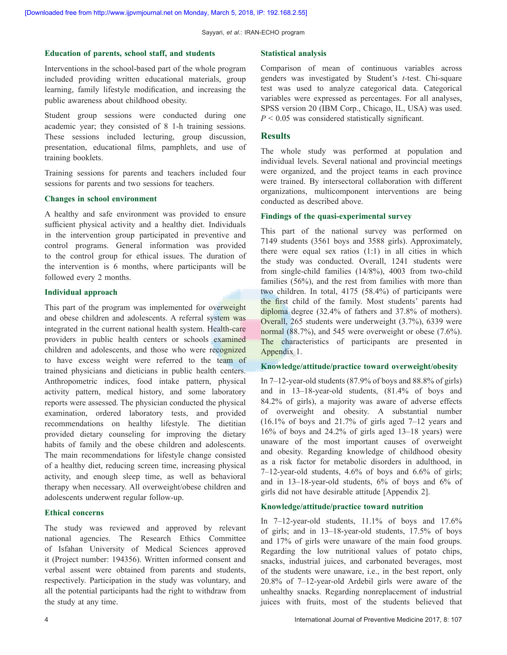## **Education of parents, school staff, and students**

Interventions in the school-based part of the whole program included providing written educational materials, group learning, family lifestyle modification, and increasing the public awareness about childhood obesity.

Student group sessions were conducted during one academic year; they consisted of 8 1‑h training sessions. These sessions included lecturing, group discussion, presentation, educational films, pamphlets, and use of training booklets.

Training sessions for parents and teachers included four sessions for parents and two sessions for teachers.

#### **Changes in school environment**

A healthy and safe environment was provided to ensure sufficient physical activity and a healthy diet. Individuals in the intervention group participated in preventive and control programs. General information was provided to the control group for ethical issues. The duration of the intervention is 6 months, where participants will be followed every 2 months.

#### **Individual approach**

This part of the program was implemented for overweight and obese children and adolescents. A referral system was integrated in the current national health system. Health-care providers in public health centers or schools examined children and adolescents, and those who were recognized to have excess weight were referred to the team of trained physicians and dieticians in public health centers. Anthropometric indices, food intake pattern, physical activity pattern, medical history, and some laboratory reports were assessed. The physician conducted the physical examination, ordered laboratory tests, and provided recommendations on healthy lifestyle. The dietitian provided dietary counseling for improving the dietary habits of family and the obese children and adolescents. The main recommendations for lifestyle change consisted of a healthy diet, reducing screen time, increasing physical activity, and enough sleep time, as well as behavioral therapy when necessary. All overweight/obese children and adolescents underwent regular follow‑up.

#### **Ethical concerns**

The study was reviewed and approved by relevant national agencies. The Research Ethics Committee of Isfahan University of Medical Sciences approved it (Project number: 194356). Written informed consent and verbal assent were obtained from parents and students, respectively. Participation in the study was voluntary, and all the potential participants had the right to withdraw from the study at any time.

#### **Statistical analysis**

Comparison of mean of continuous variables across genders was investigated by Student's *t-*test. Chi-square test was used to analyze categorical data. Categorical variables were expressed as percentages. For all analyses, SPSS version 20 (IBM Corp., Chicago, IL, USA) was used.  $P \leq 0.05$  was considered statistically significant.

## **Results**

The whole study was performed at population and individual levels. Several national and provincial meetings were organized, and the project teams in each province were trained. By intersectoral collaboration with different organizations, multicomponent interventions are being conducted as described above.

#### **Findings of the quasi‑experimental survey**

This part of the national survey was performed on 7149 students (3561 boys and 3588 girls). Approximately, there were equal sex ratios (1:1) in all cities in which the study was conducted. Overall, 1241 students were from single-child families (14/8%), 4003 from two-child families (56%), and the rest from families with more than two children. In total, 4175 (58.4%) of participants were the first child of the family. Most students' parents had diploma degree (32.4% of fathers and 37.8% of mothers). Overall, 265 students were underweight (3.7%), 6339 were normal (88.7%), and 545 were overweight or obese (7.6%). The characteristics of participants are presented in Appendix 1.

#### **Knowledge/attitude/practice toward overweight/obesity**

In  $7-12$ -year-old students (87.9% of boys and 88.8% of girls) and in 13–18‑year‑old students, (81.4% of boys and 84.2% of girls), a majority was aware of adverse effects of overweight and obesity. A substantial number (16.1% of boys and 21.7% of girls aged 7–12 years and 16% of boys and 24.2% of girls aged 13–18 years) were unaware of the most important causes of overweight and obesity. Regarding knowledge of childhood obesity as a risk factor for metabolic disorders in adulthood, in  $7-12$ -year-old students,  $4.6\%$  of boys and  $6.6\%$  of girls; and in 13–18‑year‑old students, 6% of boys and 6% of girls did not have desirable attitude [Appendix 2].

#### **Knowledge/attitude/practice toward nutrition**

In  $7-12$ -year-old students,  $11.1\%$  of boys and  $17.6\%$ of girls; and in 13–18‑year‑old students, 17.5% of boys and 17% of girls were unaware of the main food groups. Regarding the low nutritional values of potato chips, snacks, industrial juices, and carbonated beverages, most of the students were unaware, i.e., in the best report, only 20.8% of 7–12‑year‑old Ardebil girls were aware of the unhealthy snacks. Regarding nonreplacement of industrial juices with fruits, most of the students believed that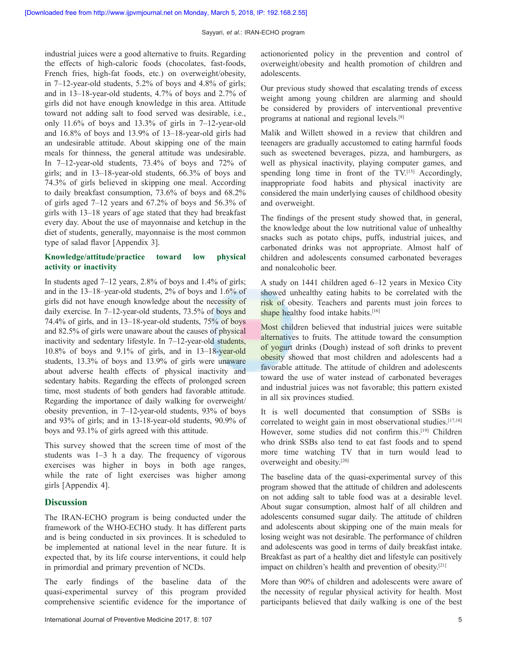industrial juices were a good alternative to fruits. Regarding the effects of high-caloric foods (chocolates, fast-foods, French fries, high-fat foods, etc.) on overweight/obesity, in 7–12-year-old students, 5.2% of boys and 4.8% of girls; and in 13–18‑year‑old students, 4.7% of boys and 2.7% of girls did not have enough knowledge in this area. Attitude toward not adding salt to food served was desirable, i.e., only 11.6% of boys and 13.3% of girls in  $7-12$ -year-old and  $16.8\%$  of boys and  $13.9\%$  of  $13-18$ -year-old girls had an undesirable attitude. About skipping one of the main meals for thinness, the general attitude was undesirable. In 7–12-year-old students, 73.4% of boys and 72% of girls; and in 13–18‑year‑old students, 66.3% of boys and 74.3% of girls believed in skipping one meal. According to daily breakfast consumption, 73.6% of boys and 68.2% of girls aged 7–12 years and 67.2% of boys and 56.3% of girls with 13–18 years of age stated that they had breakfast every day. About the use of mayonnaise and ketchup in the diet of students, generally, mayonnaise is the most common type of salad flavor [Appendix 3].

## **Knowledge/attitude/practice toward low physical activity or inactivity**

In students aged  $7-12$  years, 2.8% of boys and 1.4% of girls; and in the 13–18–year-old students, 2% of boys and 1.6% of girls did not have enough knowledge about the necessity of daily exercise. In 7–12-year-old students, 73.5% of boys and 74.4% of girls, and in  $13-18$ -year-old students,  $75\%$  of boys and 82.5% of girls were unaware about the causes of physical inactivity and sedentary lifestyle. In 7-12-year-old students,  $10.8\%$  of boys and  $9.1\%$  of girls, and in  $13-18$ -vear-old students, 13.3% of boys and 13.9% of girls were unaware about adverse health effects of physical inactivity and sedentary habits. Regarding the effects of prolonged screen time, most students of both genders had favorable attitude. Regarding the importance of daily walking for overweight/ obesity prevention, in 7–12‑year‑old students, 93% of boys and 93% of girls; and in 13‑18‑year‑old students, 90.9% of boys and 93.1% of girls agreed with this attitude.

This survey showed that the screen time of most of the students was 1–3 h a day. The frequency of vigorous exercises was higher in boys in both age ranges, while the rate of light exercises was higher among girls [Appendix 4].

# **Discussion**

The IRAN‑ECHO program is being conducted under the framework of the WHO‑ECHO study. It has different parts and is being conducted in six provinces. It is scheduled to be implemented at national level in the near future. It is expected that, by its life course interventions, it could help in primordial and primary prevention of NCDs.

The early findings of the baseline data of the quasi‑experimental survey of this program provided comprehensive scientific evidence for the importance of actionoriented policy in the prevention and control of overweight/obesity and health promotion of children and adolescents.

Our previous study showed that escalating trends of excess weight among young children are alarming and should be considered by providers of interventional preventive programs at national and regional levels.[8]

Malik and Willett showed in a review that children and teenagers are gradually accustomed to eating harmful foods such as sweetened beverages, pizza, and hamburgers, as well as physical inactivity, playing computer games, and spending long time in front of the TV.<sup>[15]</sup> Accordingly, inappropriate food habits and physical inactivity are considered the main underlying causes of childhood obesity and overweight.

The findings of the present study showed that, in general, the knowledge about the low nutritional value of unhealthy snacks such as potato chips, puffs, industrial juices, and carbonated drinks was not appropriate. Almost half of children and adolescents consumed carbonated beverages and nonalcoholic beer.

A study on 1441 children aged 6–12 years in Mexico City showed unhealthy eating habits to be correlated with the risk of obesity. Teachers and parents must join forces to shape healthy food intake habits.<sup>[16]</sup>

Most children believed that industrial juices were suitable alternatives to fruits. The attitude toward the consumption of yogurt drinks (Dough) instead of soft drinks to prevent obesity showed that most children and adolescents had a favorable attitude. The attitude of children and adolescents toward the use of water instead of carbonated beverages and industrial juices was not favorable; this pattern existed in all six provinces studied.

It is well documented that consumption of SSBs is correlated to weight gain in most observational studies.<sup>[17,18]</sup> However, some studies did not confirm this.<sup>[19]</sup> Children who drink SSBs also tend to eat fast foods and to spend more time watching TV that in turn would lead to overweight and obesity.[20]

The baseline data of the quasi-experimental survey of this program showed that the attitude of children and adolescents on not adding salt to table food was at a desirable level. About sugar consumption, almost half of all children and adolescents consumed sugar daily. The attitude of children and adolescents about skipping one of the main meals for losing weight was not desirable. The performance of children and adolescents was good in terms of daily breakfast intake. Breakfast as part of a healthy diet and lifestyle can positively impact on children's health and prevention of obesity.[21]

More than 90% of children and adolescents were aware of the necessity of regular physical activity for health. Most participants believed that daily walking is one of the best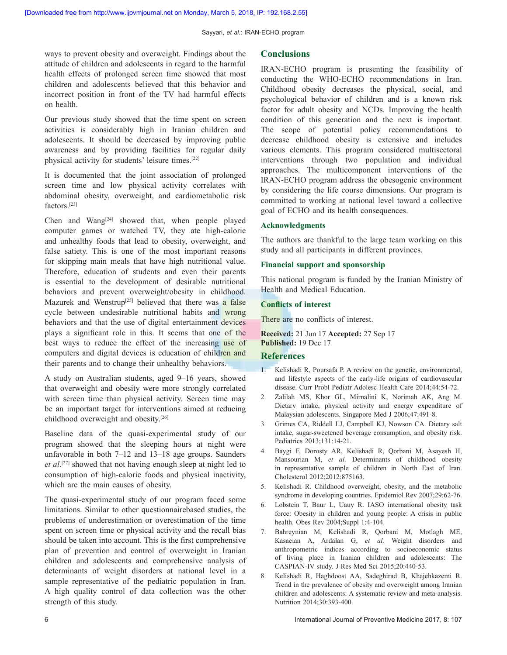ways to prevent obesity and overweight. Findings about the attitude of children and adolescents in regard to the harmful health effects of prolonged screen time showed that most children and adolescents believed that this behavior and incorrect position in front of the TV had harmful effects on health.

Our previous study showed that the time spent on screen activities is considerably high in Iranian children and adolescents. It should be decreased by improving public awareness and by providing facilities for regular daily physical activity for students' leisure times.[22]

It is documented that the joint association of prolonged screen time and low physical activity correlates with abdominal obesity, overweight, and cardiometabolic risk factors.[23]

Chen and Wang<sup>[24]</sup> showed that, when people played computer games or watched TV, they ate high-calorie and unhealthy foods that lead to obesity, overweight, and false satiety. This is one of the most important reasons for skipping main meals that have high nutritional value. Therefore, education of students and even their parents is essential to the development of desirable nutritional behaviors and prevent overweight/obesity in childhood. Mazurek and Wenstrup<sup>[25]</sup> believed that there was a false cycle between undesirable nutritional habits and wrong behaviors and that the use of digital entertainment devices plays a significant role in this. It seems that one of the best ways to reduce the effect of the increasing use of computers and digital devices is education of children and their parents and to change their unhealthy behaviors.

A study on Australian students, aged 9–16 years, showed that overweight and obesity were more strongly correlated with screen time than physical activity. Screen time may be an important target for interventions aimed at reducing childhood overweight and obesity.[26]

Baseline data of the quasi-experimental study of our program showed that the sleeping hours at night were unfavorable in both 7–12 and 13–18 age groups. Saunders *et al*. [27] showed that not having enough sleep at night led to consumption of high-calorie foods and physical inactivity, which are the main causes of obesity.

The quasi-experimental study of our program faced some limitations. Similar to other questionnairebased studies, the problems of underestimation or overestimation of the time spent on screen time or physical activity and the recall bias should be taken into account. This is the first comprehensive plan of prevention and control of overweight in Iranian children and adolescents and comprehensive analysis of determinants of weight disorders at national level in a sample representative of the pediatric population in Iran. A high quality control of data collection was the other strength of this study.

# **Conclusions**

IRAN‑ECHO program is presenting the feasibility of conducting the WHO‑ECHO recommendations in Iran. Childhood obesity decreases the physical, social, and psychological behavior of children and is a known risk factor for adult obesity and NCDs. Improving the health condition of this generation and the next is important. The scope of potential policy recommendations to decrease childhood obesity is extensive and includes various elements. This program considered multisectoral interventions through two population and individual approaches. The multicomponent interventions of the IRAN‑ECHO program address the obesogenic environment by considering the life course dimensions. Our program is committed to working at national level toward a collective goal of ECHO and its health consequences.

## **Acknowledgments**

The authors are thankful to the large team working on this study and all participants in different provinces.

## **Financial support and sponsorship**

This national program is funded by the Iranian Ministry of Health and Medical Education.

## **Conflicts of interest**

There are no conflicts of interest.

**Received:** 21 Jun 17 **Accepted:** 27 Sep 17 **Published:** 19 Dec 17

# **References**

- 1. Kelishadi R, Poursafa P. A review on the genetic, environmental, and lifestyle aspects of the early‑life origins of cardiovascular disease. Curr Probl Pediatr Adolesc Health Care 2014;44:54-72.
- 2. Zalilah MS, Khor GL, Mirnalini K, Norimah AK, Ang M. Dietary intake, physical activity and energy expenditure of Malaysian adolescents. Singapore Med J 2006;47:491‑8.
- 3. Grimes CA, Riddell LJ, Campbell KJ, Nowson CA. Dietary salt intake, sugar‑sweetened beverage consumption, and obesity risk. Pediatrics 2013;131:14‑21.
- 4. Baygi F, Dorosty AR, Kelishadi R, Qorbani M, Asayesh H, Mansourian M, *et al.* Determinants of childhood obesity in representative sample of children in North East of Iran. Cholesterol 2012;2012:875163.
- 5. Kelishadi R. Childhood overweight, obesity, and the metabolic syndrome in developing countries. Epidemiol Rev 2007;29:62-76.
- 6. Lobstein T, Baur L, Uauy R. IASO international obesity task force: Obesity in children and young people: A crisis in public health. Obes Rev 2004;Suppl 1:4-104.
- 7. Bahreynian M, Kelishadi R, Qorbani M, Motlagh ME, Kasaeian A, Ardalan G, *et al.* Weight disorders and anthropometric indices according to socioeconomic status of living place in Iranian children and adolescents: The CASPIAN‑IV study. J Res Med Sci 2015;20:440‑53.
- 8. Kelishadi R, Haghdoost AA, Sadeghirad B, Khajehkazemi R. Trend in the prevalence of obesity and overweight among Iranian children and adolescents: A systematic review and meta-analysis. Nutrition 2014;30:393-400.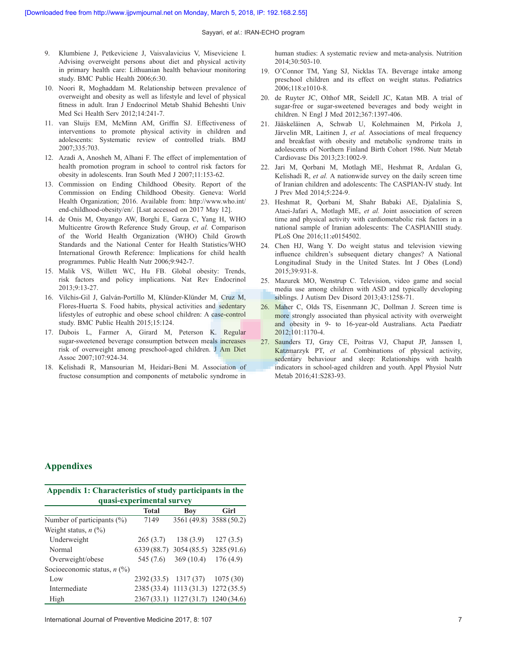- 9. Klumbiene J, Petkeviciene J, Vaisvalavicius V, Miseviciene I. Advising overweight persons about diet and physical activity in primary health care: Lithuanian health behaviour monitoring study. BMC Public Health 2006;6:30.
- 10. Noori R, Moghaddam M. Relationship between prevalence of overweight and obesity as well as lifestyle and level of physical fitness in adult. Iran J Endocrinol Metab Shahid Beheshti Univ Med Sci Health Serv 2012;14:241‑7.
- 11. van Sluijs EM, McMinn AM, Griffin SJ. Effectiveness of interventions to promote physical activity in children and adolescents: Systematic review of controlled trials. BMJ 2007;335:703.
- 12. Azadi A, Anosheh M, Alhani F. The effect of implementation of health promotion program in school to control risk factors for obesity in adolescents. Iran South Med J 2007;11:153‑62.
- 13. Commission on Ending Childhood Obesity. Report of the Commission on Ending Childhood Obesity. Geneva: World Health Organization; 2016. Available from: http://www.who.int/ end-childhood-obesity/en/. [Lsat accessed on 2017 May 12].
- 14. de Onis M, Onyango AW, Borghi E, Garza C, Yang H, WHO Multicentre Growth Reference Study Group, *et al.* Comparison of the World Health Organization (WHO) Child Growth Standards and the National Center for Health Statistics/WHO International Growth Reference: Implications for child health programmes. Public Health Nutr 2006;9:942‑7.
- 15. Malik VS, Willett WC, Hu FB. Global obesity: Trends, risk factors and policy implications. Nat Rev Endocrinol 2013;9:13‑27.
- 16. Vilchis‑Gil J, Galván‑Portillo M, Klünder‑Klünder M, Cruz M, Flores‑Huerta S. Food habits, physical activities and sedentary lifestyles of eutrophic and obese school children: A case‑control study. BMC Public Health 2015;15:124.
- 17. Dubois L, Farmer A, Girard M, Peterson K. Regular sugar‑sweetened beverage consumption between meals increases risk of overweight among preschool‑aged children. J Am Diet Assoc 2007;107:924‑34.
- 18. Kelishadi R, Mansourian M, Heidari‑Beni M. Association of fructose consumption and components of metabolic syndrome in

human studies: A systematic review and meta-analysis. Nutrition 2014;30:503‑10.

- 19. O'Connor TM, Yang SJ, Nicklas TA. Beverage intake among preschool children and its effect on weight status. Pediatrics 2006;118:e1010‑8.
- 20. de Ruyter JC, Olthof MR, Seidell JC, Katan MB. A trial of sugar-free or sugar-sweetened beverages and body weight in children. N Engl J Med 2012;367:1397-406.
- 21. Jääskeläinen A, Schwab U, Kolehmainen M, Pirkola J, Järvelin MR, Laitinen J, *et al.* Associations of meal frequency and breakfast with obesity and metabolic syndrome traits in adolescents of Northern Finland Birth Cohort 1986. Nutr Metab Cardiovasc Dis 2013;23:1002‑9.
- 22. Jari M, Qorbani M, Motlagh ME, Heshmat R, Ardalan G, Kelishadi R, *et al.* A nationwide survey on the daily screen time of Iranian children and adolescents: The CASPIAN‑IV study. Int J Prev Med 2014;5:224‑9.
- 23. Heshmat R, Qorbani M, Shahr Babaki AE, Djalalinia S, Ataei‑Jafari A, Motlagh ME, *et al.* Joint association of screen time and physical activity with cardiometabolic risk factors in a national sample of Iranian adolescents: The CASPIANIII study. PLoS One 2016;11:e0154502.
- 24. Chen HJ, Wang Y. Do weight status and television viewing influence children's subsequent dietary changes? A National Longitudinal Study in the United States. Int J Obes (Lond) 2015;39:931‑8.
- 25. Mazurek MO, Wenstrup C. Television, video game and social media use among children with ASD and typically developing siblings. J Autism Dev Disord 2013;43:1258-71.
- 26. Maher C, Olds TS, Eisenmann JC, Dollman J. Screen time is more strongly associated than physical activity with overweight and obesity in 9- to 16-year-old Australians. Acta Paediatr 2012;101:1170‑4.
- 27. Saunders TJ, Gray CE, Poitras VJ, Chaput JP, Janssen I, Katzmarzyk PT, *et al.* Combinations of physical activity, sedentary behaviour and sleep: Relationships with health indicators in school-aged children and youth. Appl Physiol Nutr Metab 2016;41:S283-93.

# **Appendixes**

| Appendix 1: Characteristics of study participants in the |              |                                     |                         |  |  |  |  |
|----------------------------------------------------------|--------------|-------------------------------------|-------------------------|--|--|--|--|
| quasi-experimental survey                                |              |                                     |                         |  |  |  |  |
|                                                          | <b>Total</b> | Boy                                 | Girl                    |  |  |  |  |
| Number of participants (%)                               | 7149         |                                     | 3561 (49.8) 3588 (50.2) |  |  |  |  |
| Weight status, $n$ (%)                                   |              |                                     |                         |  |  |  |  |
| Underweight                                              | 265(3.7)     | 138(3.9)                            | 127(3.5)                |  |  |  |  |
| Normal                                                   |              | 6339 (88.7) 3054 (85.5) 3285 (91.6) |                         |  |  |  |  |
| Overweight/obese                                         | 545 (7.6)    | 369(10.4)                           | 176(4.9)                |  |  |  |  |
| Socioeconomic status, $n$ (%)                            |              |                                     |                         |  |  |  |  |
| Low                                                      |              | 2392 (33.5) 1317 (37) 1075 (30)     |                         |  |  |  |  |
| Intermediate                                             |              | 2385 (33.4) 1113 (31.3) 1272 (35.5) |                         |  |  |  |  |
| High                                                     |              | 2367 (33.1) 1127 (31.7) 1240 (34.6) |                         |  |  |  |  |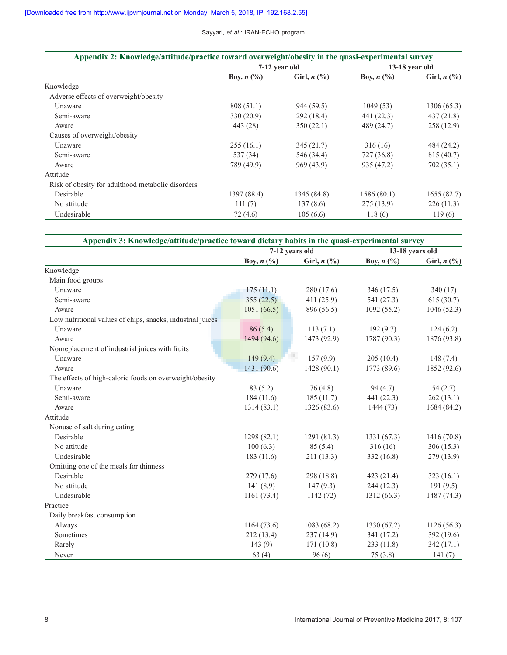| Appendix 2: Knowledge/attitude/practice toward overweight/obesity in the quasi-experimental survey |               |                  |                |                                   |  |
|----------------------------------------------------------------------------------------------------|---------------|------------------|----------------|-----------------------------------|--|
|                                                                                                    | 7-12 year old |                  | 13-18 year old |                                   |  |
|                                                                                                    | Boy, $n$ (%)  | Girl, $n$ $(\%)$ | Boy, $n$ (%)   | Girl, $n\left(\frac{9}{6}\right)$ |  |
| Knowledge                                                                                          |               |                  |                |                                   |  |
| Adverse effects of overweight/obesity                                                              |               |                  |                |                                   |  |
| Unaware                                                                                            | 808(51.1)     | 944 (59.5)       | 1049(53)       | 1306 (65.3)                       |  |
| Semi-aware                                                                                         | 330 (20.9)    | 292 (18.4)       | 441 (22.3)     | 437(21.8)                         |  |
| Aware                                                                                              | 443 (28)      | 350(22.1)        | 489 (24.7)     | 258(12.9)                         |  |
| Causes of overweight/obesity                                                                       |               |                  |                |                                   |  |
| Unaware                                                                                            | 255(16.1)     | 345(21.7)        | 316(16)        | 484 (24.2)                        |  |
| Semi-aware                                                                                         | 537 (34)      | 546 (34.4)       | 727 (36.8)     | 815 (40.7)                        |  |
| Aware                                                                                              | 789 (49.9)    | 969 (43.9)       | 935 (47.2)     | 702(35.1)                         |  |
| Attitude                                                                                           |               |                  |                |                                   |  |
| Risk of obesity for adulthood metabolic disorders                                                  |               |                  |                |                                   |  |
| Desirable                                                                                          | 1397 (88.4)   | 1345 (84.8)      | 1586 (80.1)    | 1655(82.7)                        |  |
| No attitude                                                                                        | 111(7)        | 137(8.6)         | 275(13.9)      | 226(11.3)                         |  |
| Undesirable                                                                                        | 72 (4.6)      | 105(6.6)         | 118(6)         | 119(6)                            |  |

|                                                            | Appendix 3: Knowledge/attitude/practice toward dietary habits in the quasi-experimental survey |                  |                 |               |  |
|------------------------------------------------------------|------------------------------------------------------------------------------------------------|------------------|-----------------|---------------|--|
|                                                            |                                                                                                | 7-12 years old   | 13-18 years old |               |  |
|                                                            | Boy, $n$ (%)                                                                                   | Girl, $n$ $(\%)$ | Boy, $n$ (%)    | Girl, $n$ (%) |  |
| Knowledge                                                  |                                                                                                |                  |                 |               |  |
| Main food groups                                           |                                                                                                |                  |                 |               |  |
| Unaware                                                    | 175(11.1)                                                                                      | 280 (17.6)       | 346 (17.5)      | 340(17)       |  |
| Semi-aware                                                 | 355(22.5)                                                                                      | 411 (25.9)       | 541 (27.3)      | 615(30.7)     |  |
| Aware                                                      | 1051(66.5)                                                                                     | 896 (56.5)       | 1092(55.2)      | 1046(52.3)    |  |
| Low nutritional values of chips, snacks, industrial juices |                                                                                                |                  |                 |               |  |
| Unaware                                                    | 86(5.4)                                                                                        | 113(7.1)         | 192(9.7)        | 124(6.2)      |  |
| Aware                                                      | 1494 (94.6)                                                                                    | 1473 (92.9)      | 1787 (90.3)     | 1876 (93.8)   |  |
| Nonreplacement of industrial juices with fruits            |                                                                                                |                  |                 |               |  |
| Unaware                                                    | 149(9.4)                                                                                       | 157(9.9)         | 205(10.4)       | 148(7.4)      |  |
| Aware                                                      | 1431 (90.6)                                                                                    | 1428(90.1)       | 1773 (89.6)     | 1852 (92.6)   |  |
| The effects of high-caloric foods on overweight/obesity    |                                                                                                |                  |                 |               |  |
| Unaware                                                    | 83(5.2)                                                                                        | 76(4.8)          | 94(4.7)         | 54(2.7)       |  |
| Semi-aware                                                 | 184(11.6)                                                                                      | 185(11.7)        | 441 (22.3)      | 262(13.1)     |  |
| Aware                                                      | 1314(83.1)                                                                                     | 1326(83.6)       | 1444(73)        | 1684 (84.2)   |  |
| Attitude                                                   |                                                                                                |                  |                 |               |  |
| Nonuse of salt during eating                               |                                                                                                |                  |                 |               |  |
| Desirable                                                  | 1298 (82.1)                                                                                    | 1291(81.3)       | 1331 (67.3)     | 1416 (70.8)   |  |
| No attitude                                                | 100(6.3)                                                                                       | 85(5.4)          | 316(16)         | 306(15.3)     |  |
| Undesirable                                                | 183 (11.6)                                                                                     | 211 (13.3)       | 332(16.8)       | 279(13.9)     |  |
| Omitting one of the meals for thinness                     |                                                                                                |                  |                 |               |  |
| Desirable                                                  | 279 (17.6)                                                                                     | 298 (18.8)       | 423 (21.4)      | 323(16.1)     |  |
| No attitude                                                | 141 (8.9)                                                                                      | 147(9.3)         | 244(12.3)       | 191(9.5)      |  |
| Undesirable                                                | 1161(73.4)                                                                                     | 1142(72)         | 1312(66.3)      | 1487 (74.3)   |  |
| Practice                                                   |                                                                                                |                  |                 |               |  |
| Daily breakfast consumption                                |                                                                                                |                  |                 |               |  |
| Always                                                     | 1164 (73.6)                                                                                    | 1083(68.2)       | 1330 (67.2)     | 1126(56.3)    |  |
| Sometimes                                                  | 212(13.4)                                                                                      | 237 (14.9)       | 341 (17.2)      | 392(19.6)     |  |
| Rarely                                                     | 143(9)                                                                                         | 171(10.8)        | 233 (11.8)      | 342(17.1)     |  |
| Never                                                      | 63(4)                                                                                          | 96(6)            | 75(3.8)         | 141(7)        |  |